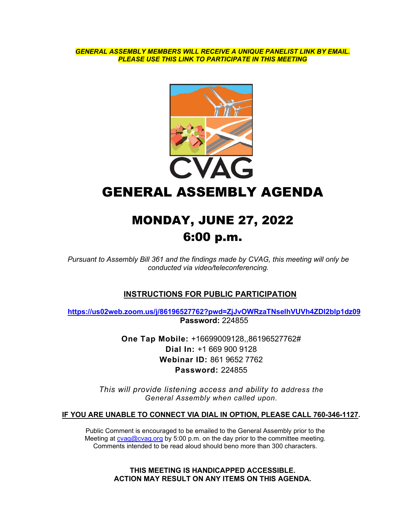*GENERAL ASSEMBLY MEMBERS WILL RECEIVE A UNIQUE PANELIST LINK BY EMAIL. PLEASE USE THIS LINK TO PARTICIPATE IN THIS MEETING*



GENERAL ASSEMBLY AGENDA

# MONDAY, JUNE 27, 2022 6:00 p.m.

*Pursuant to Assembly Bill 361 and the findings made by CVAG, this meeting will only be conducted via video/teleconferencing.* 

# **INSTRUCTIONS FOR PUBLIC PARTICIPATION**

**<https://us02web.zoom.us/j/86196527762?pwd=ZjJvOWRzaTNselhVUVh4ZDl2blp1dz09> Password:** 224855

> **One Tap Mobile:** +16699009128,,86196527762# **Dial In:** +1 669 900 9128 **Webinar ID:** 861 9652 7762 **Password:** 224855

*This will provide listening access and ability to address the General Assembly when called upon.*

#### **IF YOU ARE UNABLE TO CONNECT VIA DIAL IN OPTION, PLEASE CALL 760-346-1127.**

Public Comment is encouraged to be emailed to the General Assembly prior to the Meeting at [cvag@cvag.org](mailto:cvag@cvag.org) by 5:00 p.m. on the day prior to the committee meeting. Comments intended to be read aloud should beno more than 300 characters.

> **THIS MEETING IS HANDICAPPED ACCESSIBLE. ACTION MAY RESULT ON ANY ITEMS ON THIS AGENDA.**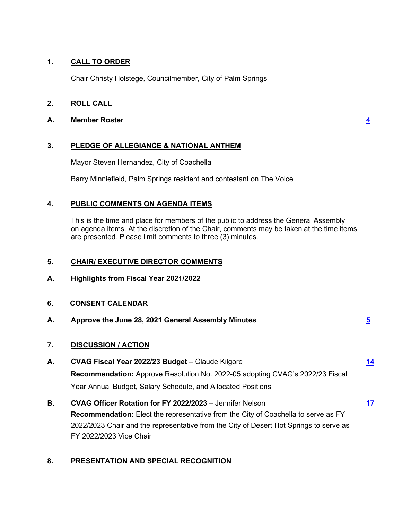# **1. CALL TO ORDER**

Chair Christy Holstege, Councilmember, City of Palm Springs

# **2. ROLL CALL**

## **A. Member Roster [4](#page-3-0)**

**3. PLEDGE OF ALLEGIANCE & NATIONAL ANTHEM**

Mayor Steven Hernandez, City of Coachella

Barry Minniefield, Palm Springs resident and contestant on The Voice

# **4. PUBLIC COMMENTS ON AGENDA ITEMS**

This is the time and place for members of the public to address the General Assembly on agenda items. At the discretion of the Chair, comments may be taken at the time items are presented. Please limit comments to three (3) minutes.

# **5. CHAIR/ EXECUTIVE DIRECTOR COMMENTS**

**A. Highlights from Fiscal Year 2021/2022**

# **6. CONSENT CALENDAR**

- **A. Approve the June 28, 2021 General Assembly Minutes [5](#page-4-0)**
- **7. DISCUSSION / ACTION**
- **[14](#page-13-0) A. CVAG Fiscal Year 2022/23 Budget** – Claude Kilgore **Recommendation:** Approve Resolution No. 2022-05 adopting CVAG's 2022/23 Fiscal Year Annual Budget, Salary Schedule, and Allocated Positions
- **[17](#page-16-0) B. CVAG Officer Rotation for FY 2022/2023 –** Jennifer Nelson **Recommendation:** Elect the representative from the City of Coachella to serve as FY 2022/2023 Chair and the representative from the City of Desert Hot Springs to serve as FY 2022/2023 Vice Chair

# **8. PRESENTATION AND SPECIAL RECOGNITION**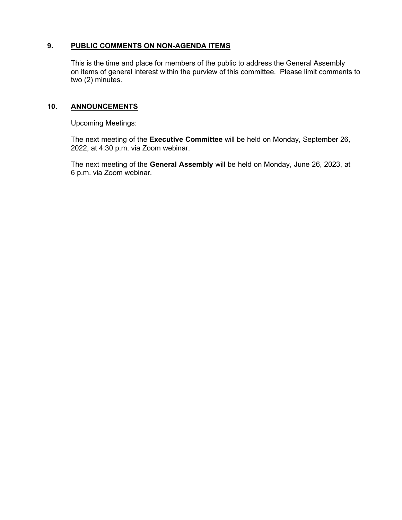# **9. PUBLIC COMMENTS ON NON-AGENDA ITEMS**

This is the time and place for members of the public to address the General Assembly on items of general interest within the purview of this committee. Please limit comments to two (2) minutes.

# **10. ANNOUNCEMENTS**

Upcoming Meetings:

The next meeting of the **Executive Committee** will be held on Monday, September 26, 2022, at 4:30 p.m. via Zoom webinar.

The next meeting of the **General Assembly** will be held on Monday, June 26, 2023, at 6 p.m. via Zoom webinar.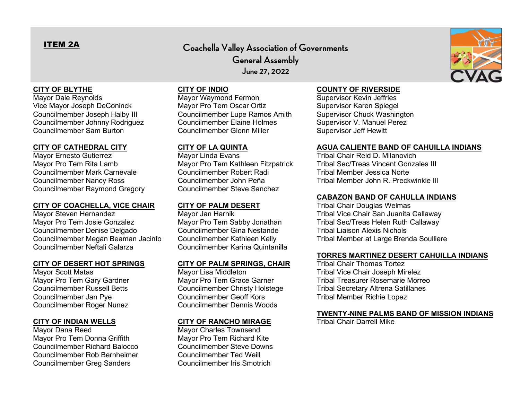# <span id="page-3-0"></span>ITEM 2A

# **Coachella Valley Association of Governments General Assembly June 27, 2022**

# **CITY OF BLYTHE**

Mayor Dale Reynolds Vice Mayor Joseph DeConinck Councilmember Joseph Halby III Councilmember Johnny Rodriguez Councilmember Sam Burton

# **CITY OF CATHEDRAL CITY**

Mayor Ernesto Gutierrez Mayor Pro Tem Rita Lamb Councilmember Mark Carnevale Councilmember Nancy Ross Councilmember Raymond Gregory

#### **CITY OF COACHELLA, VICE CHAIR**

Mayor Steven Hernandez Mayor Pro Tem Josie Gonzalez Councilmember Denise Delgado Councilmember Megan Beaman Jacinto Councilmember Neftali Galarza

#### **CITY OF DESERT HOT SPRINGS**

Mayor Scott Matas Mayor Pro Tem Gary Gardner Councilmember Russell Betts Councilmember Jan Pye Councilmember Roger Nunez

# **CITY OF INDIAN WELLS**

Mayor Dana Reed Mayor Pro Tem Donna Griffith Councilmember Richard Balocco Councilmember Rob Bernheimer Councilmember Greg Sanders

# **CITY OF INDIO**

Mayor Waymond Fermon Mayor Pro Tem Oscar Ortiz Councilmember Lupe Ramos Amith Councilmember Elaine Holmes Councilmember Glenn Miller

# **CITY OF LA QUINTA**

Mayor Linda Evans Mayor Pro Tem Kathleen Fitzpatrick Councilmember Robert Radi Councilmember John Peña Councilmember Steve Sanchez

# **CITY OF PALM DESERT**

Mayor Jan Harnik Mayor Pro Tem Sabby Jonathan Councilmember Gina Nestande Councilmember Kathleen Kelly Councilmember Karina Quintanilla

#### **CITY OF PALM SPRINGS, CHAIR**

Mayor Lisa Middleton Mayor Pro Tem Grace Garner Councilmember Christy Holstege Councilmember Geoff Kors Councilmember Dennis Woods

# **CITY OF RANCHO MIRAGE**

Mayor Charles Townsend Mayor Pro Tem Richard Kite Councilmember Steve Downs Councilmember Ted Weill Councilmember Iris Smotrich

# **COUNTY OF RIVERSIDE**

Supervisor Kevin Jeffries Supervisor Karen Spiegel Supervisor Chuck Washington Supervisor V. Manuel Perez Supervisor Jeff Hewitt

#### **AGUA CALIENTE BAND OF CAHUILLA INDIANS**

Tribal Chair Reid D. Milanovich Tribal Sec/Treas Vincent Gonzales III Tribal Member Jessica Norte Tribal Member John R. Preckwinkle III

#### **CABAZON BAND OF CAHULLA INDIANS**

Tribal Chair Douglas Welmas Tribal Vice Chair San Juanita Callaway Tribal Sec/Treas Helen Ruth Callaway Tribal Liaison Alexis Nichols Tribal Member at Large Brenda Soulliere

#### **TORRES MARTINEZ DESERT CAHUILLA INDIANS**

Tribal Chair Thomas Tortez Tribal Vice Chair Joseph Mirelez Tribal Treasurer Rosemarie Morreo Tribal Secretary Altrena Satillanes Tribal Member Richie Lopez

#### **TWENTY-NINE PALMS BAND OF MISSION INDIANS**

Tribal Chair Darrell Mike

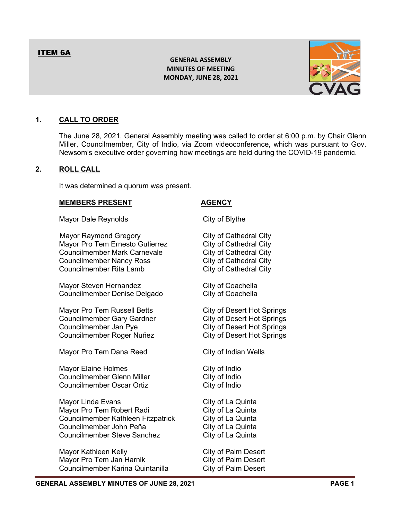# **GENERAL ASSEMBLY MINUTES OF MEETING MONDAY, JUNE 28, 2021**



# <span id="page-4-0"></span>**1. CALL TO ORDER**

The June 28, 2021, General Assembly meeting was called to order at 6:00 p.m. by Chair Glenn Miller, Councilmember, City of Indio, via Zoom videoconference, which was pursuant to Gov. Newsom's executive order governing how meetings are held during the COVID-19 pandemic.

### **2. ROLL CALL**

It was determined a quorum was present.

#### **MEMBERS PRESENT AGENCY**

| Mayor Dale Reynolds                                                                                                                                                  | City of Blythe                                                                                                                                             |
|----------------------------------------------------------------------------------------------------------------------------------------------------------------------|------------------------------------------------------------------------------------------------------------------------------------------------------------|
| <b>Mayor Raymond Gregory</b><br>Mayor Pro Tem Ernesto Gutierrez<br><b>Councilmember Mark Carnevale</b><br><b>Councilmember Nancy Ross</b><br>Councilmember Rita Lamb | City of Cathedral City<br><b>City of Cathedral City</b><br><b>City of Cathedral City</b><br><b>City of Cathedral City</b><br><b>City of Cathedral City</b> |
| Mayor Steven Hernandez<br>Councilmember Denise Delgado                                                                                                               | City of Coachella<br>City of Coachella                                                                                                                     |
| Mayor Pro Tem Russell Betts<br><b>Councilmember Gary Gardner</b><br>Councilmember Jan Pye<br>Councilmember Roger Nuñez                                               | <b>City of Desert Hot Springs</b><br><b>City of Desert Hot Springs</b><br><b>City of Desert Hot Springs</b><br><b>City of Desert Hot Springs</b>           |
| Mayor Pro Tem Dana Reed                                                                                                                                              | City of Indian Wells                                                                                                                                       |
| <b>Mayor Elaine Holmes</b><br><b>Councilmember Glenn Miller</b><br><b>Councilmember Oscar Ortiz</b>                                                                  | City of Indio<br>City of Indio<br>City of Indio                                                                                                            |
| Mayor Linda Evans<br>Mayor Pro Tem Robert Radi<br>Councilmember Kathleen Fitzpatrick<br>Councilmember John Peña<br><b>Councilmember Steve Sanchez</b>                | City of La Quinta<br>City of La Quinta<br>City of La Quinta<br>City of La Quinta<br>City of La Quinta                                                      |
| Mayor Kathleen Kelly<br>Mayor Pro Tem Jan Harnik<br>Councilmember Karina Quintanilla                                                                                 | <b>City of Palm Desert</b><br>City of Palm Desert<br><b>City of Palm Desert</b>                                                                            |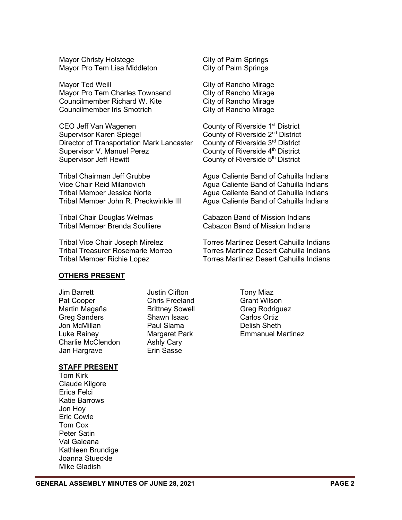Mayor Christy Holstege City of Palm Springs Mayor Pro Tem Lisa Middleton

Mayor Ted Weill **Mayor Ted Weill** Mayor Ted Weill and Museum City of Rancho Mirage Mayor Pro Tem Charles Townsend City of Rancho Mirage Councilmember Richard W. Kite City of Rancho Mirage Councilmember Iris Smotrich City of Rancho Mirage

CEO Jeff Van Wagenen **County of Riverside 1<sup>st</sup> District**<br>Supervisor Karen Spiegel County of Riverside 2<sup>nd</sup> District Director of Transportation Mark Lancaster County of Riverside 3<sup>rd</sup> District Supervisor V. Manuel Perez County of Riverside 4<sup>th</sup> District Supervisor Jeff Hewitt County of Riverside 5<sup>th</sup> District

County of Riverside 2<sup>nd</sup> District

Tribal Chairman Jeff Grubbe Agua Caliente Band of Cahuilla Indians Vice Chair Reid Milanovich **Agua Caliente Band of Cahuilla Indians** Tribal Member Jessica Norte Agua Caliente Band of Cahuilla Indians Tribal Member John R. Preckwinkle III Agua Caliente Band of Cahuilla Indians

Tribal Chair Douglas Welmas Cabazon Band of Mission Indians Tribal Member Brenda Soulliere Cabazon Band of Mission Indians

Tribal Vice Chair Joseph Mirelez Torres Martinez Desert Cahuilla Indians Tribal Treasurer Rosemarie Morreo Torres Martinez Desert Cahuilla Indians Tribal Member Richie Lopez Torres Martinez Desert Cahuilla Indians

# **OTHERS PRESENT**

Jim Barrett **Justin Clifton** Tony Miaz Pat Cooper Chris Freeland Grant Wilson Martin Magaña Brittney Sowell Greg Rodriguez Greg Sanders Shawn Isaac Carlos Ortiz Jon McMillan Charlie McClendon Ashly Cary Jan Hargrave **Erin Sasse** 

Luke Rainey Margaret Park Emmanuel Martinez

#### **STAFF PRESENT**

Tom Kirk Claude Kilgore Erica Felci Katie Barrows Jon Hoy Eric Cowle Tom Cox Peter Satin Val Galeana Kathleen Brundige Joanna Stueckle Mike Gladish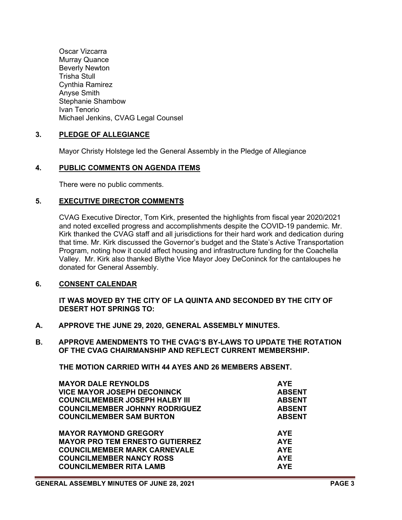Oscar Vizcarra Murray Quance Beverly Newton Trisha Stull Cynthia Ramirez Anyse Smith Stephanie Shambow Ivan Tenorio Michael Jenkins, CVAG Legal Counsel

# **3. PLEDGE OF ALLEGIANCE**

Mayor Christy Holstege led the General Assembly in the Pledge of Allegiance

#### **4. PUBLIC COMMENTS ON AGENDA ITEMS**

There were no public comments.

#### **5. EXECUTIVE DIRECTOR COMMENTS**

CVAG Executive Director, Tom Kirk, presented the highlights from fiscal year 2020/2021 and noted excelled progress and accomplishments despite the COVID-19 pandemic. Mr. Kirk thanked the CVAG staff and all jurisdictions for their hard work and dedication during that time. Mr. Kirk discussed the Governor's budget and the State's Active Transportation Program, noting how it could affect housing and infrastructure funding for the Coachella Valley. Mr. Kirk also thanked Blythe Vice Mayor Joey DeConinck for the cantaloupes he donated for General Assembly.

# **6. CONSENT CALENDAR**

**IT WAS MOVED BY THE CITY OF LA QUINTA AND SECONDED BY THE CITY OF DESERT HOT SPRINGS TO:**

- **A. APPROVE THE JUNE 29, 2020, GENERAL ASSEMBLY MINUTES.**
- **B. APPROVE AMENDMENTS TO THE CVAG'S BY-LAWS TO UPDATE THE ROTATION OF THE CVAG CHAIRMANSHIP AND REFLECT CURRENT MEMBERSHIP.**

**THE MOTION CARRIED WITH 44 AYES AND 26 MEMBERS ABSENT.**

| <b>MAYOR DALE REYNOLDS</b>             | <b>AYE</b>    |
|----------------------------------------|---------------|
| <b>VICE MAYOR JOSEPH DECONINCK</b>     | <b>ABSENT</b> |
| <b>COUNCILMEMBER JOSEPH HALBY III</b>  | <b>ABSENT</b> |
| <b>COUNCILMEMBER JOHNNY RODRIGUEZ</b>  | <b>ABSENT</b> |
| <b>COUNCILMEMBER SAM BURTON</b>        | <b>ABSENT</b> |
| <b>MAYOR RAYMOND GREGORY</b>           | <b>AYE</b>    |
| <b>MAYOR PRO TEM ERNESTO GUTIERREZ</b> | <b>AYE</b>    |
| <b>COUNCILMEMBER MARK CARNEVALE</b>    | <b>AYE</b>    |
| <b>COUNCILMEMBER NANCY ROSS</b>        | <b>AYE</b>    |
| <b>COUNCILMEMBER RITA LAMB</b>         | <b>AYF</b>    |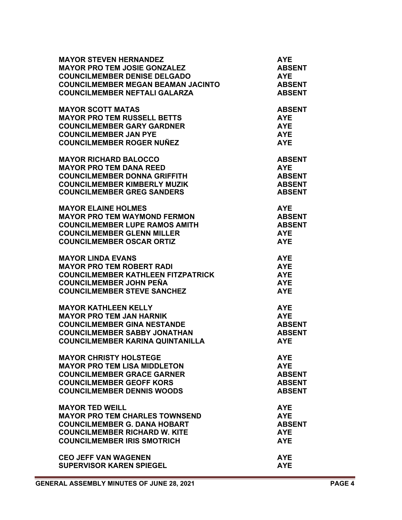| <b>MAYOR STEVEN HERNANDEZ</b>             | <b>AYE</b>    |
|-------------------------------------------|---------------|
| <b>MAYOR PRO TEM JOSIE GONZALEZ</b>       | <b>ABSENT</b> |
| <b>COUNCILMEMBER DENISE DELGADO</b>       | <b>AYE</b>    |
| <b>COUNCILMEMBER MEGAN BEAMAN JACINTO</b> | <b>ABSENT</b> |
| <b>COUNCILMEMBER NEFTALI GALARZA</b>      | <b>ABSENT</b> |
| <b>MAYOR SCOTT MATAS</b>                  | <b>ABSENT</b> |
| <b>MAYOR PRO TEM RUSSELL BETTS</b>        | <b>AYE</b>    |
| <b>COUNCILMEMBER GARY GARDNER</b>         | <b>AYE</b>    |
| <b>COUNCILMEMBER JAN PYE</b>              | <b>AYE</b>    |
| <b>COUNCILMEMBER ROGER NUÑEZ</b>          | <b>AYE</b>    |
| <b>MAYOR RICHARD BALOCCO</b>              | <b>ABSENT</b> |
| <b>MAYOR PRO TEM DANA REED</b>            | <b>AYE</b>    |
| <b>COUNCILMEMBER DONNA GRIFFITH</b>       | <b>ABSENT</b> |
| <b>COUNCILMEMBER KIMBERLY MUZIK</b>       | <b>ABSENT</b> |
| <b>COUNCILMEMBER GREG SANDERS</b>         | <b>ABSENT</b> |
| <b>MAYOR ELAINE HOLMES</b>                | <b>AYE</b>    |
| <b>MAYOR PRO TEM WAYMOND FERMON</b>       | <b>ABSENT</b> |
| <b>COUNCILMEMBER LUPE RAMOS AMITH</b>     | <b>ABSENT</b> |
| <b>COUNCILMEMBER GLENN MILLER</b>         | <b>AYE</b>    |
| <b>COUNCILMEMBER OSCAR ORTIZ</b>          | <b>AYE</b>    |
| <b>MAYOR LINDA EVANS</b>                  | <b>AYE</b>    |
| <b>MAYOR PRO TEM ROBERT RADI</b>          | <b>AYE</b>    |
| <b>COUNCILMEMBER KATHLEEN FITZPATRICK</b> | <b>AYE</b>    |
| <b>COUNCILMEMBER JOHN PEÑA</b>            | <b>AYE</b>    |
| <b>COUNCILMEMBER STEVE SANCHEZ</b>        | <b>AYE</b>    |
| <b>MAYOR KATHLEEN KELLY</b>               | <b>AYE</b>    |
| <b>MAYOR PRO TEM JAN HARNIK</b>           | <b>AYE</b>    |
| <b>COUNCILMEMBER GINA NESTANDE</b>        | <b>ABSENT</b> |
| <b>COUNCILMEMBER SABBY JONATHAN</b>       | <b>ABSENT</b> |
| <b>COUNCILMEMBER KARINA QUINTANILLA</b>   | <b>AYE</b>    |
| <b>MAYOR CHRISTY HOLSTEGE</b>             | <b>AYE</b>    |
| <b>MAYOR PRO TEM LISA MIDDLETON</b>       | <b>AYE</b>    |
| <b>COUNCILMEMBER GRACE GARNER</b>         | <b>ABSENT</b> |
| <b>COUNCILMEMBER GEOFF KORS</b>           | <b>ABSENT</b> |
| <b>COUNCILMEMBER DENNIS WOODS</b>         | <b>ABSENT</b> |
| <b>MAYOR TED WEILL</b>                    | <b>AYE</b>    |
| <b>MAYOR PRO TEM CHARLES TOWNSEND</b>     | <b>AYE</b>    |
| <b>COUNCILMEMBER G. DANA HOBART</b>       | <b>ABSENT</b> |
| <b>COUNCILMEMBER RICHARD W. KITE</b>      | <b>AYE</b>    |
| <b>COUNCILMEMBER IRIS SMOTRICH</b>        | <b>AYE</b>    |
| <b>CEO JEFF VAN WAGENEN</b>               | <b>AYE</b>    |
| <b>SUPERVISOR KAREN SPIEGEL</b>           | <b>AYE</b>    |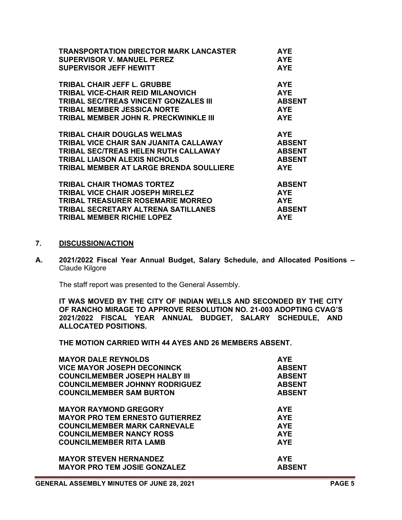| <b>TRANSPORTATION DIRECTOR MARK LANCASTER</b>  | <b>AYE</b>    |
|------------------------------------------------|---------------|
| <b>SUPERVISOR V. MANUEL PEREZ</b>              | <b>AYE</b>    |
| <b>SUPERVISOR JEFF HEWITT</b>                  | <b>AYE</b>    |
| <b>TRIBAL CHAIR JEFF L. GRUBBE</b>             | <b>AYE</b>    |
| TRIBAL VICE-CHAIR REID MILANOVICH              | <b>AYE</b>    |
| TRIBAL SEC/TREAS VINCENT GONZALES III          | <b>ABSENT</b> |
| <b>TRIBAL MEMBER JESSICA NORTE</b>             | <b>AYE</b>    |
| TRIBAL MEMBER JOHN R. PRECKWINKLE III          | <b>AYE</b>    |
| <b>TRIBAL CHAIR DOUGLAS WELMAS</b>             | <b>AYE</b>    |
| TRIBAL VICE CHAIR SAN JUANITA CALLAWAY         | <b>ABSENT</b> |
| <b>TRIBAL SEC/TREAS HELEN RUTH CALLAWAY</b>    | <b>ABSENT</b> |
| <b>TRIBAL LIAISON ALEXIS NICHOLS</b>           | <b>ABSENT</b> |
| <b>TRIBAL MEMBER AT LARGE BRENDA SOULLIERE</b> | <b>AYE</b>    |
| <b>TRIBAL CHAIR THOMAS TORTEZ</b>              | <b>ABSENT</b> |
| <b>TRIBAL VICE CHAIR JOSEPH MIRELEZ</b>        | <b>AYE</b>    |
| <b>TRIBAL TREASURER ROSEMARIE MORREO</b>       | <b>AYE</b>    |
| <b>TRIBAL SECRETARY ALTRENA SATILLANES</b>     | <b>ABSENT</b> |
| <b>TRIBAL MEMBER RICHIE LOPEZ</b>              | <b>AYE</b>    |

# **7. DISCUSSION/ACTION**

**A. 2021/2022 Fiscal Year Annual Budget, Salary Schedule, and Allocated Positions –** Claude Kilgore

The staff report was presented to the General Assembly.

**IT WAS MOVED BY THE CITY OF INDIAN WELLS AND SECONDED BY THE CITY OF RANCHO MIRAGE TO APPROVE RESOLUTION NO. 21-003 ADOPTING CVAG'S 2021/2022 FISCAL YEAR ANNUAL BUDGET, SALARY SCHEDULE, AND ALLOCATED POSITIONS.**

**THE MOTION CARRIED WITH 44 AYES AND 26 MEMBERS ABSENT.**

| <b>MAYOR DALE REYNOLDS</b>             | <b>AYE</b>    |
|----------------------------------------|---------------|
| <b>VICE MAYOR JOSEPH DECONINCK</b>     | <b>ABSENT</b> |
| <b>COUNCILMEMBER JOSEPH HALBY III</b>  | <b>ABSENT</b> |
| <b>COUNCILMEMBER JOHNNY RODRIGUEZ</b>  | <b>ABSENT</b> |
| <b>COUNCILMEMBER SAM BURTON</b>        | <b>ABSENT</b> |
| <b>MAYOR RAYMOND GREGORY</b>           | <b>AYE</b>    |
| <b>MAYOR PRO TEM ERNESTO GUTIERREZ</b> | <b>AYE</b>    |
| <b>COUNCILMEMBER MARK CARNEVALE</b>    | <b>AYE</b>    |
| <b>COUNCILMEMBER NANCY ROSS</b>        | <b>AYE</b>    |
| <b>COUNCILMEMBER RITA LAMB</b>         | <b>AYE</b>    |
| <b>MAYOR STEVEN HERNANDEZ</b>          | <b>AYE</b>    |
| <b>MAYOR PRO TEM JOSIE GONZALEZ</b>    | <b>ABSENT</b> |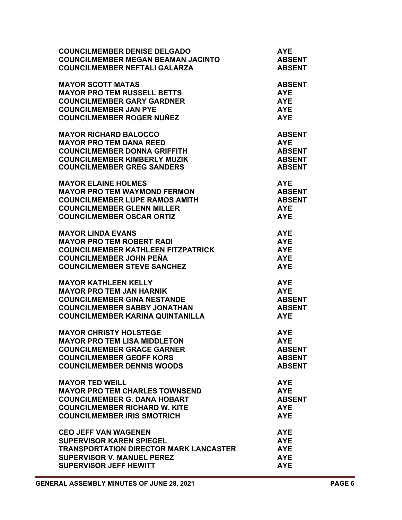| <b>COUNCILMEMBER DENISE DELGADO</b><br><b>COUNCILMEMBER MEGAN BEAMAN JACINTO</b><br><b>COUNCILMEMBER NEFTALI GALARZA</b> | <b>AYE</b><br><b>ABSENT</b><br><b>ABSENT</b> |
|--------------------------------------------------------------------------------------------------------------------------|----------------------------------------------|
| <b>MAYOR SCOTT MATAS</b>                                                                                                 | <b>ABSENT</b>                                |
| <b>MAYOR PRO TEM RUSSELL BETTS</b>                                                                                       | <b>AYE</b>                                   |
| <b>COUNCILMEMBER GARY GARDNER</b>                                                                                        | <b>AYE</b>                                   |
| <b>COUNCILMEMBER JAN PYE</b>                                                                                             | <b>AYE</b>                                   |
| <b>COUNCILMEMBER ROGER NUÑEZ</b>                                                                                         | <b>AYE</b>                                   |
| <b>MAYOR RICHARD BALOCCO</b>                                                                                             | <b>ABSENT</b>                                |
| <b>MAYOR PRO TEM DANA REED</b>                                                                                           | <b>AYE</b>                                   |
| <b>COUNCILMEMBER DONNA GRIFFITH</b>                                                                                      | <b>ABSENT</b>                                |
| <b>COUNCILMEMBER KIMBERLY MUZIK</b>                                                                                      | <b>ABSENT</b>                                |
| <b>COUNCILMEMBER GREG SANDERS</b>                                                                                        | <b>ABSENT</b>                                |
| <b>MAYOR ELAINE HOLMES</b>                                                                                               | <b>AYE</b>                                   |
| <b>MAYOR PRO TEM WAYMOND FERMON</b>                                                                                      | <b>ABSENT</b>                                |
| <b>COUNCILMEMBER LUPE RAMOS AMITH</b>                                                                                    | <b>ABSENT</b>                                |
| <b>COUNCILMEMBER GLENN MILLER</b>                                                                                        | <b>AYE</b>                                   |
| <b>COUNCILMEMBER OSCAR ORTIZ</b>                                                                                         | <b>AYE</b>                                   |
| <b>MAYOR LINDA EVANS</b>                                                                                                 | <b>AYE</b>                                   |
| <b>MAYOR PRO TEM ROBERT RADI</b>                                                                                         | <b>AYE</b>                                   |
| <b>COUNCILMEMBER KATHLEEN FITZPATRICK</b>                                                                                | <b>AYE</b>                                   |
| <b>COUNCILMEMBER JOHN PEÑA</b>                                                                                           | <b>AYE</b>                                   |
| <b>COUNCILMEMBER STEVE SANCHEZ</b>                                                                                       | <b>AYE</b>                                   |
| <b>MAYOR KATHLEEN KELLY</b>                                                                                              | <b>AYE</b>                                   |
| <b>MAYOR PRO TEM JAN HARNIK</b>                                                                                          | <b>AYE</b>                                   |
| <b>COUNCILMEMBER GINA NESTANDE</b>                                                                                       | <b>ABSENT</b>                                |
| <b>COUNCILMEMBER SABBY JONATHAN</b>                                                                                      | <b>ABSENT</b>                                |
| <b>COUNCILMEMBER KARINA QUINTANILLA</b>                                                                                  | <b>AYE</b>                                   |
| <b>MAYOR CHRISTY HOLSTEGE</b>                                                                                            | <b>AYE</b>                                   |
| <b>MAYOR PRO TEM LISA MIDDLETON</b>                                                                                      | <b>AYE</b>                                   |
| <b>COUNCILMEMBER GRACE GARNER</b>                                                                                        | <b>ABSENT</b>                                |
| <b>COUNCILMEMBER GEOFF KORS</b>                                                                                          | <b>ABSENT</b>                                |
| <b>COUNCILMEMBER DENNIS WOODS</b>                                                                                        | <b>ABSENT</b>                                |
| <b>MAYOR TED WEILL</b>                                                                                                   | <b>AYE</b>                                   |
| <b>MAYOR PRO TEM CHARLES TOWNSEND</b>                                                                                    | <b>AYE</b>                                   |
| <b>COUNCILMEMBER G. DANA HOBART</b>                                                                                      | <b>ABSENT</b>                                |
| <b>COUNCILMEMBER RICHARD W. KITE</b>                                                                                     | <b>AYE</b>                                   |
| <b>COUNCILMEMBER IRIS SMOTRICH</b>                                                                                       | <b>AYE</b>                                   |
| <b>CEO JEFF VAN WAGENEN</b>                                                                                              | <b>AYE</b>                                   |
| <b>SUPERVISOR KAREN SPIEGEL</b>                                                                                          | <b>AYE</b>                                   |
| <b>TRANSPORTATION DIRECTOR MARK LANCASTER</b>                                                                            | <b>AYE</b>                                   |
| <b>SUPERVISOR V. MANUEL PEREZ</b>                                                                                        | <b>AYE</b>                                   |
| <b>SUPERVISOR JEFF HEWITT</b>                                                                                            | <b>AYE</b>                                   |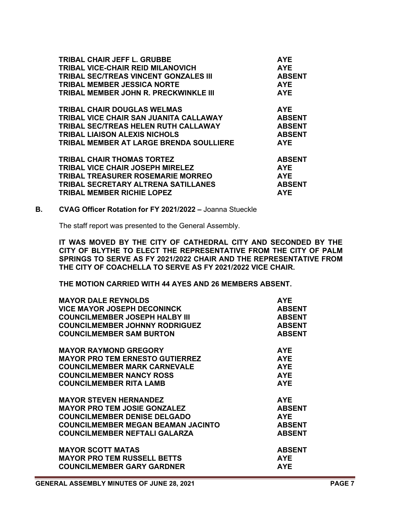| TRIBAL CHAIR JEFF L. GRUBBE                  | <b>AYE</b>    |
|----------------------------------------------|---------------|
| <b>TRIBAL VICE-CHAIR REID MILANOVICH</b>     | <b>AYE</b>    |
| <b>TRIBAL SEC/TREAS VINCENT GONZALES III</b> | <b>ABSENT</b> |
| <b>TRIBAL MEMBER JESSICA NORTE</b>           | <b>AYE</b>    |
| TRIBAL MEMBER JOHN R. PRECKWINKLE III        | <b>AYE</b>    |
| <b>TRIBAL CHAIR DOUGLAS WELMAS</b>           | <b>AYE</b>    |
| TRIBAL VICE CHAIR SAN JUANITA CALLAWAY       | <b>ABSENT</b> |
| <b>TRIBAL SEC/TREAS HELEN RUTH CALLAWAY</b>  | <b>ABSENT</b> |
| <b>TRIBAL LIAISON ALEXIS NICHOLS</b>         | <b>ABSENT</b> |
| TRIBAL MEMBER AT LARGE BRENDA SOULLIERE      | <b>AYE</b>    |
| <b>TRIBAL CHAIR THOMAS TORTEZ</b>            | <b>ABSENT</b> |
| <b>TRIBAL VICE CHAIR JOSEPH MIRELEZ</b>      | <b>AYE</b>    |
| <b>TRIBAL TREASURER ROSEMARIE MORREO</b>     | <b>AYE</b>    |
| <b>TRIBAL SECRETARY ALTRENA SATILLANES</b>   | <b>ABSENT</b> |
| <b>TRIBAL MEMBER RICHIE LOPEZ</b>            | <b>AYE</b>    |

#### **B. CVAG Officer Rotation for FY 2021/2022 –** Joanna Stueckle

The staff report was presented to the General Assembly.

**IT WAS MOVED BY THE CITY OF CATHEDRAL CITY AND SECONDED BY THE CITY OF BLYTHE TO ELECT THE REPRESENTATIVE FROM THE CITY OF PALM SPRINGS TO SERVE AS FY 2021/2022 CHAIR AND THE REPRESENTATIVE FROM THE CITY OF COACHELLA TO SERVE AS FY 2021/2022 VICE CHAIR.**

**THE MOTION CARRIED WITH 44 AYES AND 26 MEMBERS ABSENT.**

| <b>MAYOR DALE REYNOLDS</b>                | <b>AYE</b>    |
|-------------------------------------------|---------------|
| <b>VICE MAYOR JOSEPH DECONINCK</b>        | <b>ABSENT</b> |
| <b>COUNCILMEMBER JOSEPH HALBY III</b>     | <b>ABSENT</b> |
| <b>COUNCILMEMBER JOHNNY RODRIGUEZ</b>     | <b>ABSENT</b> |
| <b>COUNCILMEMBER SAM BURTON</b>           | <b>ABSENT</b> |
| <b>MAYOR RAYMOND GREGORY</b>              | <b>AYE</b>    |
| <b>MAYOR PRO TEM ERNESTO GUTIERREZ</b>    | <b>AYE</b>    |
| <b>COUNCILMEMBER MARK CARNEVALE</b>       | <b>AYE</b>    |
| <b>COUNCILMEMBER NANCY ROSS</b>           | <b>AYE</b>    |
| <b>COUNCILMEMBER RITA LAMB</b>            | <b>AYE</b>    |
| <b>MAYOR STEVEN HERNANDEZ</b>             | <b>AYE</b>    |
| <b>MAYOR PRO TEM JOSIE GONZALEZ</b>       | <b>ABSENT</b> |
| <b>COUNCILMEMBER DENISE DELGADO</b>       | <b>AYE</b>    |
| <b>COUNCILMEMBER MEGAN BEAMAN JACINTO</b> | <b>ABSENT</b> |
| <b>COUNCILMEMBER NEFTALI GALARZA</b>      | <b>ABSENT</b> |
| <b>MAYOR SCOTT MATAS</b>                  | <b>ABSENT</b> |
| <b>MAYOR PRO TEM RUSSELL BETTS</b>        | <b>AYE</b>    |
| <b>COUNCILMEMBER GARY GARDNER</b>         | <b>AYE</b>    |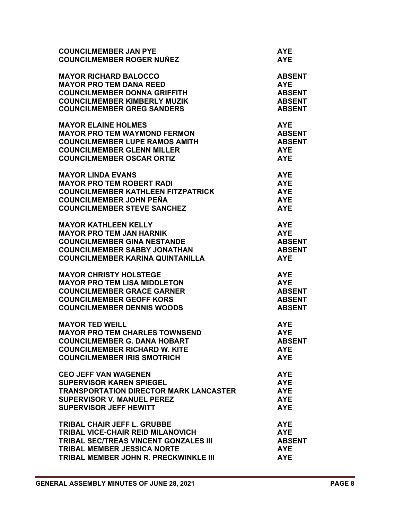| <b>COUNCILMEMBER JAN PYE</b>                  | <b>AYE</b>    |
|-----------------------------------------------|---------------|
| <b>COUNCILMEMBER ROGER NUÑEZ</b>              | <b>AYE</b>    |
| <b>MAYOR RICHARD BALOCCO</b>                  | <b>ABSENT</b> |
| <b>MAYOR PRO TEM DANA REED</b>                | <b>AYE</b>    |
| <b>COUNCILMEMBER DONNA GRIFFITH</b>           | <b>ABSENT</b> |
| <b>COUNCILMEMBER KIMBERLY MUZIK</b>           | <b>ABSENT</b> |
| <b>COUNCILMEMBER GREG SANDERS</b>             | <b>ABSENT</b> |
| <b>MAYOR ELAINE HOLMES</b>                    | <b>AYE</b>    |
| <b>MAYOR PRO TEM WAYMOND FERMON</b>           | <b>ABSENT</b> |
| <b>COUNCILMEMBER LUPE RAMOS AMITH</b>         | <b>ABSENT</b> |
| <b>COUNCILMEMBER GLENN MILLER</b>             | <b>AYE</b>    |
| <b>COUNCILMEMBER OSCAR ORTIZ</b>              | <b>AYE</b>    |
| <b>MAYOR LINDA EVANS</b>                      | <b>AYE</b>    |
| <b>MAYOR PRO TEM ROBERT RADI</b>              | <b>AYE</b>    |
| <b>COUNCILMEMBER KATHLEEN FITZPATRICK</b>     | <b>AYE</b>    |
| <b>COUNCILMEMBER JOHN PEÑA</b>                | <b>AYE</b>    |
| <b>COUNCILMEMBER STEVE SANCHEZ</b>            | <b>AYE</b>    |
| <b>MAYOR KATHLEEN KELLY</b>                   | <b>AYE</b>    |
| <b>MAYOR PRO TEM JAN HARNIK</b>               | <b>AYE</b>    |
| <b>COUNCILMEMBER GINA NESTANDE</b>            | <b>ABSENT</b> |
| <b>COUNCILMEMBER SABBY JONATHAN</b>           | <b>ABSENT</b> |
| <b>COUNCILMEMBER KARINA QUINTANILLA</b>       | <b>AYE</b>    |
| <b>MAYOR CHRISTY HOLSTEGE</b>                 | <b>AYE</b>    |
| <b>MAYOR PRO TEM LISA MIDDLETON</b>           | <b>AYE</b>    |
| <b>COUNCILMEMBER GRACE GARNER</b>             | <b>ABSENT</b> |
| <b>COUNCILMEMBER GEOFF KORS</b>               | <b>ABSENT</b> |
| <b>COUNCILMEMBER DENNIS WOODS</b>             | <b>ABSENT</b> |
| <b>MAYOR TED WEILL</b>                        | <b>AYE</b>    |
| <b>MAYOR PRO TEM CHARLES TOWNSEND</b>         | <b>AYE</b>    |
| COUNCILMEMBER G. DANA HOBART                  | <b>ABSENT</b> |
| <b>COUNCILMEMBER RICHARD W. KITE</b>          | AYE.          |
| <b>COUNCILMEMBER IRIS SMOTRICH</b>            | <b>AYE</b>    |
| <b>CEO JEFF VAN WAGENEN</b>                   | <b>AYE</b>    |
| <b>SUPERVISOR KAREN SPIEGEL</b>               | <b>AYE</b>    |
| <b>TRANSPORTATION DIRECTOR MARK LANCASTER</b> | <b>AYE</b>    |
| <b>SUPERVISOR V. MANUEL PEREZ</b>             | <b>AYE</b>    |
| <b>SUPERVISOR JEFF HEWITT</b>                 | <b>AYE</b>    |
| <b>TRIBAL CHAIR JEFF L. GRUBBE</b>            | <b>AYE</b>    |
| <b>TRIBAL VICE-CHAIR REID MILANOVICH</b>      | <b>AYE</b>    |
| TRIBAL SEC/TREAS VINCENT GONZALES III         | <b>ABSENT</b> |
| <b>TRIBAL MEMBER JESSICA NORTE</b>            | <b>AYE</b>    |
| TRIBAL MEMBER JOHN R. PRECKWINKLE III         | <b>AYE</b>    |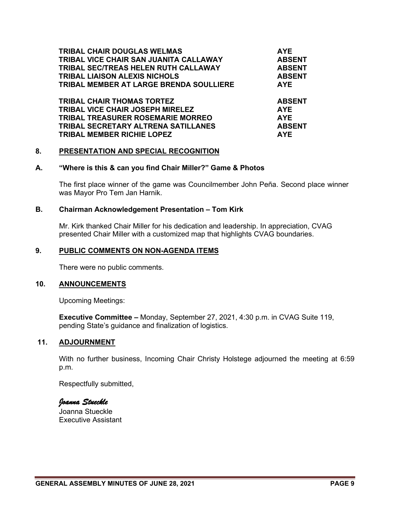| <b>TRIBAL CHAIR DOUGLAS WELMAS</b>         | <b>AYE</b>    |
|--------------------------------------------|---------------|
| TRIBAL VICE CHAIR SAN JUANITA CALLAWAY     | <b>ABSENT</b> |
| TRIBAL SEC/TREAS HELEN RUTH CALLAWAY       | <b>ABSENT</b> |
| <b>TRIBAL LIAISON ALEXIS NICHOLS</b>       | <b>ABSENT</b> |
| TRIBAL MEMBER AT LARGE BRENDA SOULLIERE    | <b>AYE</b>    |
| <b>TRIBAL CHAIR THOMAS TORTEZ</b>          | <b>ABSENT</b> |
| <b>TRIBAL VICE CHAIR JOSEPH MIRELEZ</b>    | <b>AYE</b>    |
| <b>TRIBAL TREASURER ROSEMARIE MORREO</b>   | <b>AYE</b>    |
| <b>TRIBAL SECRETARY ALTRENA SATILLANES</b> | <b>ABSENT</b> |
| <b>TRIBAL MEMBER RICHIE LOPEZ</b>          | <b>AYE</b>    |

#### **8. PRESENTATION AND SPECIAL RECOGNITION**

#### **A. "Where is this & can you find Chair Miller?" Game & Photos**

The first place winner of the game was Councilmember John Peña. Second place winner was Mayor Pro Tem Jan Harnik.

#### **B. Chairman Acknowledgement Presentation – Tom Kirk**

Mr. Kirk thanked Chair Miller for his dedication and leadership. In appreciation, CVAG presented Chair Miller with a customized map that highlights CVAG boundaries.

#### **9. PUBLIC COMMENTS ON NON-AGENDA ITEMS**

There were no public comments.

#### **10. ANNOUNCEMENTS**

Upcoming Meetings:

**Executive Committee –** Monday, September 27, 2021, 4:30 p.m. in CVAG Suite 119, pending State's guidance and finalization of logistics.

#### **11. ADJOURNMENT**

With no further business, Incoming Chair Christy Holstege adjourned the meeting at 6:59 p.m.

Respectfully submitted,

#### *Joanna Stueckle*

Joanna Stueckle Executive Assistant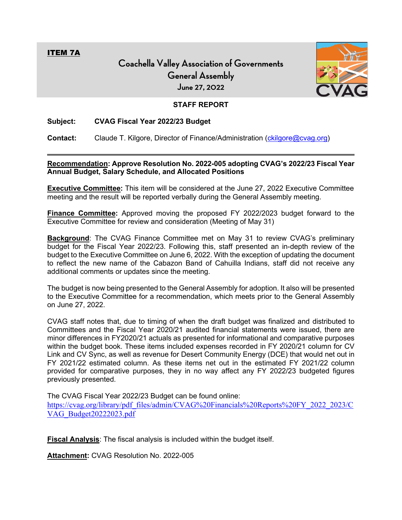<span id="page-13-0"></span>ITEM 7A

# **Coachella Valley Association of Governments General Assembly June 27, 2022**



# **STAFF REPORT**

#### **Subject: CVAG Fiscal Year 2022/23 Budget**

**Contact:** Claude T. Kilgore, Director of Finance/Administration [\(ckilgore@cvag.org\)](mailto:ckilgore@cvag.org)

#### **Recommendation: Approve Resolution No. 2022-005 adopting CVAG's 2022/23 Fiscal Year Annual Budget, Salary Schedule, and Allocated Positions**

**Executive Committee:** This item will be considered at the June 27, 2022 Executive Committee meeting and the result will be reported verbally during the General Assembly meeting.

**Finance Committee:** Approved moving the proposed FY 2022/2023 budget forward to the Executive Committee for review and consideration (Meeting of May 31)

**Background**: The CVAG Finance Committee met on May 31 to review CVAG's preliminary budget for the Fiscal Year 2022/23. Following this, staff presented an in-depth review of the budget to the Executive Committee on June 6, 2022. With the exception of updating the document to reflect the new name of the Cabazon Band of Cahuilla Indians, staff did not receive any additional comments or updates since the meeting.

The budget is now being presented to the General Assembly for adoption. It also will be presented to the Executive Committee for a recommendation, which meets prior to the General Assembly on June 27, 2022.

CVAG staff notes that, due to timing of when the draft budget was finalized and distributed to Committees and the Fiscal Year 2020/21 audited financial statements were issued, there are minor differences in FY2020/21 actuals as presented for informational and comparative purposes within the budget book. These items included expenses recorded in FY 2020/21 column for CV Link and CV Sync, as well as revenue for Desert Community Energy (DCE) that would net out in FY 2021/22 estimated column. As these items net out in the estimated FY 2021/22 column provided for comparative purposes, they in no way affect any FY 2022/23 budgeted figures previously presented.

The CVAG Fiscal Year 2022/23 Budget can be found online:

[https://cvag.org/library/pdf\\_files/admin/CVAG%20Financials%20Reports%20FY\\_2022\\_2023/C](https://cvag.org/library/pdf_files/admin/CVAG%20Financials%20Reports%20FY_2022_2023/CVAG_Budget20222023.pdf) [VAG\\_Budget20222023.pdf](https://cvag.org/library/pdf_files/admin/CVAG%20Financials%20Reports%20FY_2022_2023/CVAG_Budget20222023.pdf)

**Fiscal Analysis**: The fiscal analysis is included within the budget itself.

**Attachment:** CVAG Resolution No. 2022-005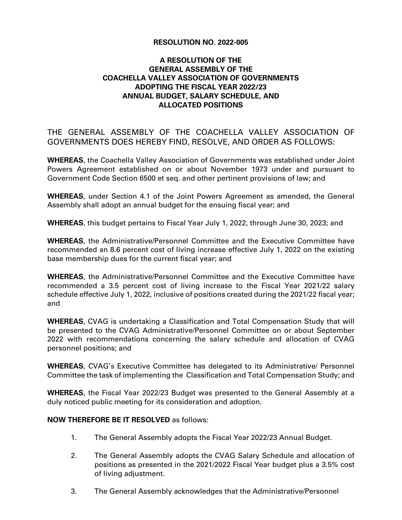# **RESOLUTION NO. 2022-005**

# **A RESOLUTION OF THE GENERAL ASSEMBLY OF THE COACHELLA VALLEY ASSOCIATION OF GOVERNMENTS ADOPTING THE FISCAL YEAR 2022/23 ANNUAL BUDGET, SALARY SCHEDULE, AND ALLOCATED POSITIONS**

THE GENERAL ASSEMBLY OF THE COACHELLA VALLEY ASSOCIATION OF GOVERNMENTS DOES HEREBY FIND, RESOLVE, AND ORDER AS FOLLOWS:

**WHEREAS**, the Coachella Valley Association of Governments was established under Joint Powers Agreement established on or about November 1973 under and pursuant to Government Code Section 6500 et seq. and other pertinent provisions of law; and

**WHEREAS**, under Section 4.1 of the Joint Powers Agreement as amended, the General Assembly shall adopt an annual budget for the ensuing fiscal year; and

**WHEREAS**, this budget pertains to Fiscal Year July 1, 2022, through June 30, 2023; and

**WHEREAS**, the Administrative/Personnel Committee and the Executive Committee have recommended an 8.6 percent cost of living increase effective July 1, 2022 on the existing base membership dues for the current fiscal year; and

**WHEREAS**, the Administrative/Personnel Committee and the Executive Committee have recommended a 3.5 percent cost of living increase to the Fiscal Year 2021/22 salary schedule effective July 1, 2022, inclusive of positions created during the 2021/22 fiscal year; and

**WHEREAS**, CVAG is undertaking a Classification and Total Compensation Study that will be presented to the CVAG Administrative/Personnel Committee on or about September 2022 with recommendations concerning the salary schedule and allocation of CVAG personnel positions; and

**WHEREAS**, CVAG's Executive Committee has delegated to its Administrative/ Personnel Committee the task of implementing the Classification and Total Compensation Study; and

**WHEREAS**, the Fiscal Year 2022/23 Budget was presented to the General Assembly at a duly noticed public meeting for its consideration and adoption.

#### **NOW THEREFORE BE IT RESOLVED** as follows:

- 1. The General Assembly adopts the Fiscal Year 2022/23 Annual Budget.
- 2. The General Assembly adopts the CVAG Salary Schedule and allocation of positions as presented in the 2021/2022 Fiscal Year budget plus a 3.5% cost of living adjustment.
- 3. The General Assembly acknowledges that the Administrative/Personnel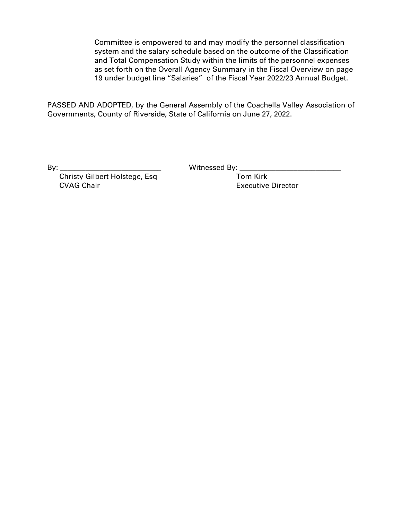Committee is empowered to and may modify the personnel classification system and the salary schedule based on the outcome of the Classification and Total Compensation Study within the limits of the personnel expenses as set forth on the Overall Agency Summary in the Fiscal Overview on page 19 under budget line "Salaries" of the Fiscal Year 2022/23 Annual Budget.

PASSED AND ADOPTED, by the General Assembly of the Coachella Valley Association of Governments, County of Riverside, State of California on June 27, 2022.

By: **\_\_\_\_\_\_\_\_\_\_\_\_\_\_\_\_\_\_\_\_\_\_\_\_\_\_\_\_** Witnessed By: **\_\_\_\_\_\_\_\_\_\_\_\_\_\_\_\_\_\_\_\_\_\_\_\_\_\_\_\_**

**Christy Gilbert Holstege, Esq Tom Kirk** CVAG Chair Executive Director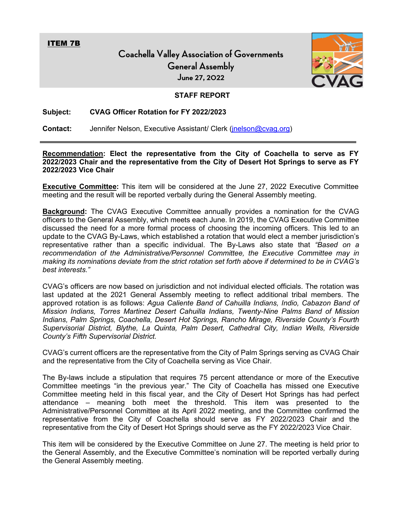<span id="page-16-0"></span>ITEM 7B

**Coachella Valley Association of Governments General Assembly June 27, 2022**



#### **STAFF REPORT**

#### **Subject: CVAG Officer Rotation for FY 2022/2023**

**Contact:** Jennifer Nelson, Executive Assistant/ Clerk [\(jnelson@cvag.org\)](mailto:jnelson@cvag.org)

**Recommendation: Elect the representative from the City of Coachella to serve as FY 2022/2023 Chair and the representative from the City of Desert Hot Springs to serve as FY 2022/2023 Vice Chair**

**Executive Committee:** This item will be considered at the June 27, 2022 Executive Committee meeting and the result will be reported verbally during the General Assembly meeting.

**Background:** The CVAG Executive Committee annually provides a nomination for the CVAG officers to the General Assembly, which meets each June. In 2019, the CVAG Executive Committee discussed the need for a more formal process of choosing the incoming officers. This led to an update to the CVAG By-Laws, which established a rotation that would elect a member jurisdiction's representative rather than a specific individual. The By-Laws also state that *"Based on a recommendation of the Administrative/Personnel Committee, the Executive Committee may in making its nominations deviate from the strict rotation set forth above if determined to be in CVAG's best interests."*

CVAG's officers are now based on jurisdiction and not individual elected officials. The rotation was last updated at the 2021 General Assembly meeting to reflect additional tribal members. The approved rotation is as follows: *Agua Caliente Band of Cahuilla Indians, Indio, Cabazon Band of Mission Indians, Torres Martinez Desert Cahuilla Indians, Twenty-Nine Palms Band of Mission Indians, Palm Springs, Coachella, Desert Hot Springs, Rancho Mirage, Riverside County's Fourth Supervisorial District, Blythe, La Quinta, Palm Desert, Cathedral City, Indian Wells, Riverside County's Fifth Supervisorial District.*

CVAG's current officers are the representative from the City of Palm Springs serving as CVAG Chair and the representative from the City of Coachella serving as Vice Chair.

The By-laws include a stipulation that requires 75 percent attendance or more of the Executive Committee meetings "in the previous year." The City of Coachella has missed one Executive Committee meeting held in this fiscal year, and the City of Desert Hot Springs has had perfect attendance – meaning both meet the threshold. This item was presented to the Administrative/Personnel Committee at its April 2022 meeting, and the Committee confirmed the representative from the City of Coachella should serve as FY 2022/2023 Chair and the representative from the City of Desert Hot Springs should serve as the FY 2022/2023 Vice Chair.

This item will be considered by the Executive Committee on June 27. The meeting is held prior to the General Assembly, and the Executive Committee's nomination will be reported verbally during the General Assembly meeting.